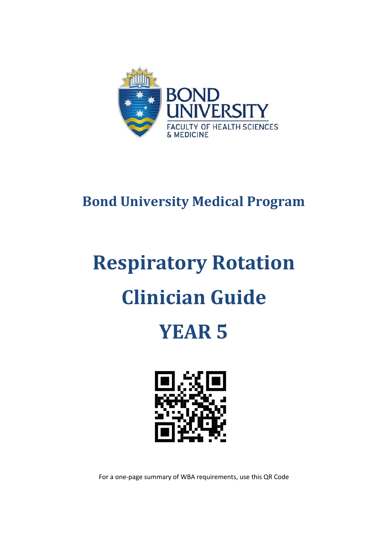

### **Bond University Medical Program**

# **Respiratory Rotation Clinician Guide**

## **YEAR 5**



For a one-page summary of WBA requirements, use this QR Code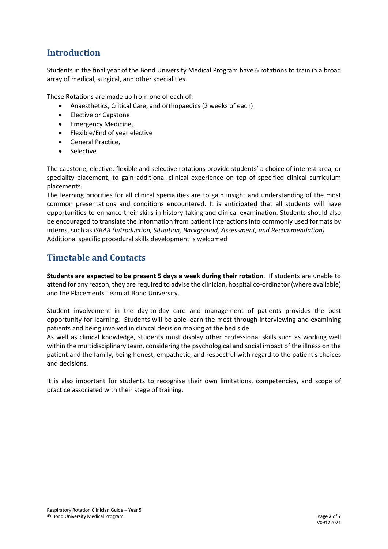#### **Introduction**

Students in the final year of the Bond University Medical Program have 6 rotations to train in a broad array of medical, surgical, and other specialities.

These Rotations are made up from one of each of:

- Anaesthetics, Critical Care, and orthopaedics (2 weeks of each)
- Elective or Capstone
- Emergency Medicine,
- Flexible/End of year elective
- General Practice,
- Selective

The capstone, elective, flexible and selective rotations provide students' a choice of interest area, or speciality placement, to gain additional clinical experience on top of specified clinical curriculum placements.

The learning priorities for all clinical specialities are to gain insight and understanding of the most common presentations and conditions encountered. It is anticipated that all students will have opportunities to enhance their skills in history taking and clinical examination. Students should also be encouraged to translate the information from patient interactions into commonly used formats by interns, such as *ISBAR (Introduction, Situation, Background, Assessment, and Recommendation)* Additional specific procedural skills development is welcomed

#### **Timetable and Contacts**

**Students are expected to be present 5 days a week during their rotation**. If students are unable to attend for any reason, they are required to advise the clinician, hospital co-ordinator (where available) and the Placements Team at Bond University.

Student involvement in the day-to-day care and management of patients provides the best opportunity for learning. Students will be able learn the most through interviewing and examining patients and being involved in clinical decision making at the bed side.

As well as clinical knowledge, students must display other professional skills such as working well within the multidisciplinary team, considering the psychological and social impact of the illness on the patient and the family, being honest, empathetic, and respectful with regard to the patient's choices and decisions.

It is also important for students to recognise their own limitations, competencies, and scope of practice associated with their stage of training.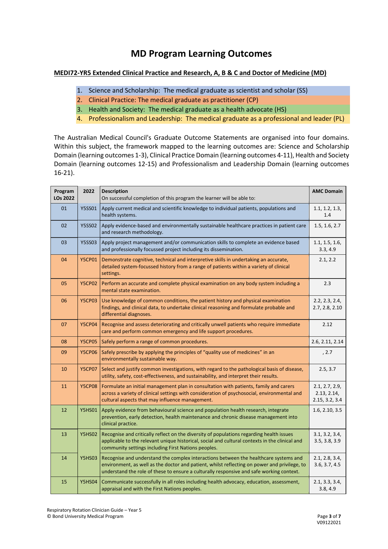#### **MD Program Learning Outcomes**

#### **MEDI72-YR5 Extended Clinical Practice and Research, A, B & C and Doctor of Medicine (MD)**

- 1. Science and Scholarship: The medical graduate as scientist and scholar (SS)
- 2. Clinical Practice: The medical graduate as practitioner (CP)
- 3. Health and Society: The medical graduate as a health advocate (HS)
- 4. Professionalism and Leadership: The medical graduate as a professional and leader (PL)

The Australian Medical Council's Graduate Outcome Statements are organised into four domains. Within this subject, the framework mapped to the learning outcomes are: Science and Scholarship Domain (learning outcomes 1-3), Clinical Practice Domain (learning outcomes 4-11), Health and Society Domain (learning outcomes 12-15) and Professionalism and Leadership Domain (learning outcomes 16-21).

| Program<br>LOs 2022 | 2022          | <b>Description</b><br>On successful completion of this program the learner will be able to:                                                                                                                                                                                      | <b>AMC Domain</b>                               |
|---------------------|---------------|----------------------------------------------------------------------------------------------------------------------------------------------------------------------------------------------------------------------------------------------------------------------------------|-------------------------------------------------|
| 01                  | <b>Y5SS01</b> | Apply current medical and scientific knowledge to individual patients, populations and<br>health systems.                                                                                                                                                                        | 1.1, 1.2, 1.3,<br>1.4                           |
| 02                  | <b>Y5SS02</b> | Apply evidence-based and environmentally sustainable healthcare practices in patient care<br>and research methodology.                                                                                                                                                           | 1.5, 1.6, 2.7                                   |
| 03                  | <b>Y5SS03</b> | Apply project management and/or communication skills to complete an evidence based<br>and professionally focussed project including its dissemination.                                                                                                                           | 1.1, 1.5, 1.6,<br>3.3, 4.9                      |
| 04                  | <b>Y5CP01</b> | Demonstrate cognitive, technical and interpretive skills in undertaking an accurate,<br>detailed system-focussed history from a range of patients within a variety of clinical<br>settings.                                                                                      | 2.1, 2.2                                        |
| 05                  | <b>Y5CP02</b> | Perform an accurate and complete physical examination on any body system including a<br>mental state examination.                                                                                                                                                                | 2.3                                             |
| 06                  | <b>Y5CP03</b> | Use knowledge of common conditions, the patient history and physical examination<br>findings, and clinical data, to undertake clinical reasoning and formulate probable and<br>differential diagnoses.                                                                           | 2.2, 2.3, 2.4,<br>2.7, 2.8, 2.10                |
| 07                  | <b>Y5CP04</b> | Recognise and assess deteriorating and critically unwell patients who require immediate<br>care and perform common emergency and life support procedures.                                                                                                                        | 2.12                                            |
| 08                  | <b>Y5CP05</b> | Safely perform a range of common procedures.                                                                                                                                                                                                                                     | 2.6, 2.11, 2.14                                 |
| 09                  | <b>Y5CP06</b> | Safely prescribe by applying the principles of "quality use of medicines" in an<br>environmentally sustainable way.                                                                                                                                                              | , 2.7                                           |
| 10                  | <b>Y5CP07</b> | Select and justify common investigations, with regard to the pathological basis of disease,<br>utility, safety, cost-effectiveness, and sustainability, and interpret their results.                                                                                             | 2.5, 3.7                                        |
| 11                  | <b>Y5CP08</b> | Formulate an initial management plan in consultation with patients, family and carers<br>across a variety of clinical settings with consideration of psychosocial, environmental and<br>cultural aspects that may influence management.                                          | 2.1, 2.7, 2.9,<br>2.13, 2.14,<br>2.15, 3.2, 3.4 |
| 12                  | <b>Y5HS01</b> | Apply evidence from behavioural science and population health research, integrate<br>prevention, early detection, health maintenance and chronic disease management into<br>clinical practice.                                                                                   | 1.6, 2.10, 3.5                                  |
| 13                  | <b>Y5HS02</b> | Recognise and critically reflect on the diversity of populations regarding health issues<br>applicable to the relevant unique historical, social and cultural contexts in the clinical and<br>community settings including First Nations peoples.                                | 3.1, 3.2, 3.4,<br>3.5, 3.8, 3.9                 |
| 14                  | <b>Y5HS03</b> | Recognise and understand the complex interactions between the healthcare systems and<br>environment, as well as the doctor and patient, whilst reflecting on power and privilege, to<br>understand the role of these to ensure a culturally responsive and safe working context. | 2.1, 2.8, 3.4,<br>3.6, 3.7, 4.5                 |
| 15                  | <b>Y5HS04</b> | Communicate successfully in all roles including health advocacy, education, assessment,<br>appraisal and with the First Nations peoples.                                                                                                                                         | 2.1, 3.3, 3.4,<br>3.8, 4.9                      |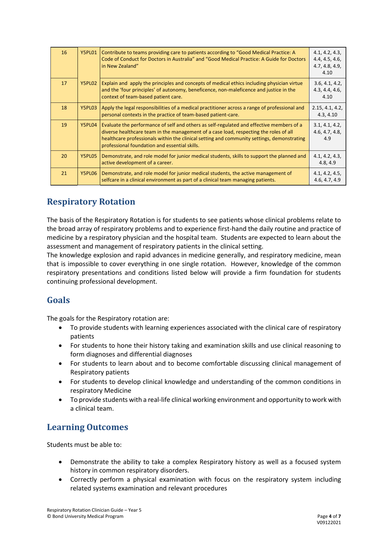| 16 | <b>Y5PL01</b> | Contribute to teams providing care to patients according to "Good Medical Practice: A<br>Code of Conduct for Doctors in Australia" and "Good Medical Practice: A Guide for Doctors<br>in New Zealand"                                                                                                                            | 4.1, 4.2, 4.3,<br>4.4, 4.5, 4.6,<br>4.7, 4.8, 4.9,<br>4.10 |
|----|---------------|----------------------------------------------------------------------------------------------------------------------------------------------------------------------------------------------------------------------------------------------------------------------------------------------------------------------------------|------------------------------------------------------------|
| 17 | Y5PL02        | Explain and apply the principles and concepts of medical ethics including physician virtue<br>and the 'four principles' of autonomy, beneficence, non-maleficence and justice in the<br>context of team-based patient care.                                                                                                      | 3.6, 4.1, 4.2,<br>4.3, 4.4, 4.6,<br>4.10                   |
| 18 | Y5PL03        | Apply the legal responsibilities of a medical practitioner across a range of professional and<br>personal contexts in the practice of team-based patient-care.                                                                                                                                                                   | 2.15, 4.1, 4.2,<br>4.3, 4.10                               |
| 19 | Y5PL04        | Evaluate the performance of self and others as self-regulated and effective members of a<br>diverse healthcare team in the management of a case load, respecting the roles of all<br>healthcare professionals within the clinical setting and community settings, demonstrating<br>professional foundation and essential skills. | 3.1, 4.1, 4.2,<br>4.6, 4.7, 4.8,<br>4.9                    |
| 20 | Y5PL05        | Demonstrate, and role model for junior medical students, skills to support the planned and<br>active development of a career.                                                                                                                                                                                                    | 4.1, 4.2, 4.3,<br>4.8, 4.9                                 |
| 21 | Y5PL06        | Demonstrate, and role model for junior medical students, the active management of<br>selfcare in a clinical environment as part of a clinical team managing patients.                                                                                                                                                            | 4.1, 4.2, 4.5,<br>4.6, 4.7, 4.9                            |

#### **Respiratory Rotation**

The basis of the Respiratory Rotation is for students to see patients whose clinical problems relate to the broad array of respiratory problems and to experience first-hand the daily routine and practice of medicine by a respiratory physician and the hospital team. Students are expected to learn about the assessment and management of respiratory patients in the clinical setting.

The knowledge explosion and rapid advances in medicine generally, and respiratory medicine, mean that is impossible to cover everything in one single rotation. However, knowledge of the common respiratory presentations and conditions listed below will provide a firm foundation for students continuing professional development.

#### **Goals**

The goals for the Respiratory rotation are:

- To provide students with learning experiences associated with the clinical care of respiratory patients
- For students to hone their history taking and examination skills and use clinical reasoning to form diagnoses and differential diagnoses
- For students to learn about and to become comfortable discussing clinical management of Respiratory patients
- For students to develop clinical knowledge and understanding of the common conditions in respiratory Medicine
- To provide students with a real-life clinical working environment and opportunity to work with a clinical team.

#### **Learning Outcomes**

Students must be able to:

- Demonstrate the ability to take a complex Respiratory history as well as a focused system history in common respiratory disorders.
- Correctly perform a physical examination with focus on the respiratory system including related systems examination and relevant procedures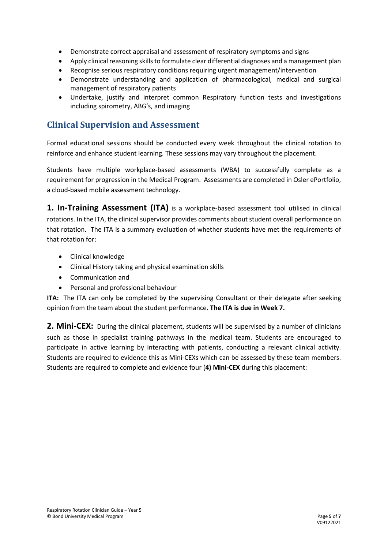- Demonstrate correct appraisal and assessment of respiratory symptoms and signs
- Apply clinical reasoning skills to formulate clear differential diagnoses and a management plan
- Recognise serious respiratory conditions requiring urgent management/intervention
- Demonstrate understanding and application of pharmacological, medical and surgical management of respiratory patients
- Undertake, justify and interpret common Respiratory function tests and investigations including spirometry, ABG's, and imaging

#### **Clinical Supervision and Assessment**

Formal educational sessions should be conducted every week throughout the clinical rotation to reinforce and enhance student learning. These sessions may vary throughout the placement.

Students have multiple workplace-based assessments (WBA) to successfully complete as a requirement for progression in the Medical Program. Assessments are completed in Osler ePortfolio, a cloud-based mobile assessment technology.

**1. In-Training Assessment (ITA)** is a workplace-based assessment tool utilised in clinical rotations. In the ITA, the clinical supervisor provides comments about student overall performance on that rotation. The ITA is a summary evaluation of whether students have met the requirements of that rotation for:

- Clinical knowledge
- Clinical History taking and physical examination skills
- Communication and
- Personal and professional behaviour

**ITA:** The ITA can only be completed by the supervising Consultant or their delegate after seeking opinion from the team about the student performance. **The ITA is due in Week 7.**

2. Mini-CEX: During the clinical placement, students will be supervised by a number of clinicians such as those in specialist training pathways in the medical team. Students are encouraged to participate in active learning by interacting with patients, conducting a relevant clinical activity. Students are required to evidence this as Mini-CEXs which can be assessed by these team members. Students are required to complete and evidence four (**4) Mini-CEX** during this placement: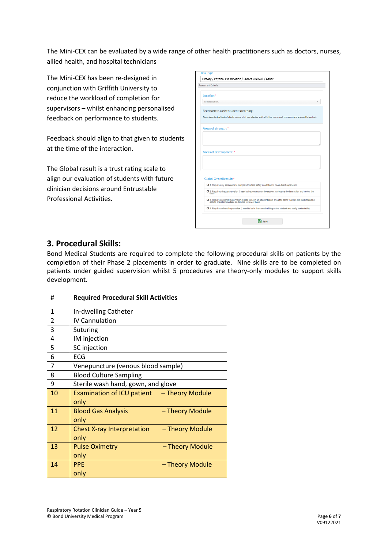The Mini-CEX can be evaluated by a wide range of other health practitioners such as doctors, nurses, allied health, and hospital technicians

The Mini-CEX has been re-designed in conjunction with Griffith University to reduce the workload of completion for supervisors – whilst enhancing personalised feedback on performance to students.

Feedback should align to that given to students at the time of the interaction.

The Global result is a trust rating scale to align our evaluation of students with future clinician decisions around Entrustable Professional Activities.

| Location*                                                                                                                                                               |
|-------------------------------------------------------------------------------------------------------------------------------------------------------------------------|
| Select Location                                                                                                                                                         |
| Feedback to assist student's learning:                                                                                                                                  |
| Please describe the Student's Performance: what was effective and ineffective, your overall impression and any specific feedback.                                       |
| Areas of strength:*                                                                                                                                                     |
|                                                                                                                                                                         |
|                                                                                                                                                                         |
| Areas of development:*                                                                                                                                                  |
|                                                                                                                                                                         |
|                                                                                                                                                                         |
|                                                                                                                                                                         |
| Global Overall result:*                                                                                                                                                 |
| O 1. Requires my assistance to complete this task safely in addition to close direct supervision                                                                        |
| O 2. Requires direct supervision (I need to be present with the student to observe the interaction and review the<br>task)                                              |
| O 3. Requires proximal supervision (I need to be in an adjacent room or on the same ward as the student and be<br>able to provide immediate or detailed review of task) |
| O 4. Requires minimal supervision (I need to be in the same building as the student and easily contactable)                                                             |
|                                                                                                                                                                         |

#### **3. Procedural Skills:**

Bond Medical Students are required to complete the following procedural skills on patients by the completion of their Phase 2 placements in order to graduate. Nine skills are to be completed on patients under guided supervision whilst 5 procedures are theory-only modules to support skills development.

| #              | <b>Required Procedural Skill Activities</b>           |  |  |
|----------------|-------------------------------------------------------|--|--|
| $\mathbf{1}$   | In-dwelling Catheter                                  |  |  |
| $\overline{2}$ | IV Cannulation                                        |  |  |
| 3              | <b>Suturing</b>                                       |  |  |
| 4              | IM injection                                          |  |  |
| 5              | SC injection                                          |  |  |
| 6              | ECG                                                   |  |  |
| 7              | Venepuncture (venous blood sample)                    |  |  |
| 8              | <b>Blood Culture Sampling</b>                         |  |  |
| 9              | Sterile wash hand, gown, and glove                    |  |  |
| 10             | Examination of ICU patient - Theory Module<br>only    |  |  |
| 11             | <b>Blood Gas Analysis</b><br>- Theory Module<br>only  |  |  |
| 12             | Chest X-ray Interpretation<br>- Theory Module<br>only |  |  |
| 13             | <b>Pulse Oximetry</b><br>- Theory Module<br>only      |  |  |
| 14             | <b>PPE</b><br>- Theory Module<br>only                 |  |  |